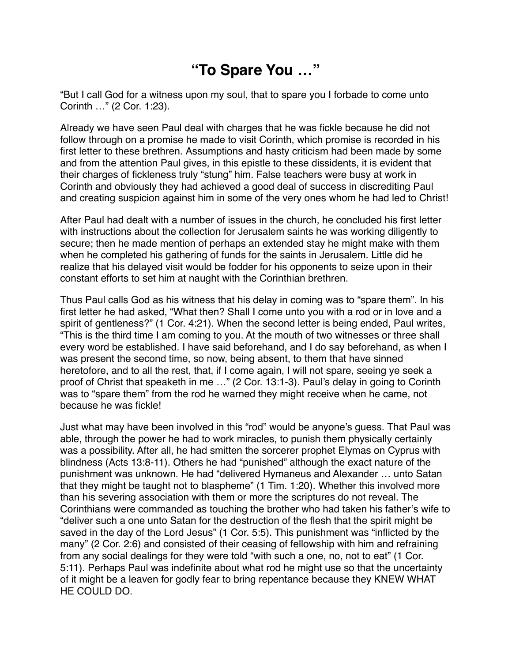## **"To Spare You …"**

"But I call God for a witness upon my soul, that to spare you I forbade to come unto Corinth …" (2 Cor. 1:23).

Already we have seen Paul deal with charges that he was fickle because he did not follow through on a promise he made to visit Corinth, which promise is recorded in his first letter to these brethren. Assumptions and hasty criticism had been made by some and from the attention Paul gives, in this epistle to these dissidents, it is evident that their charges of fickleness truly "stung" him. False teachers were busy at work in Corinth and obviously they had achieved a good deal of success in discrediting Paul and creating suspicion against him in some of the very ones whom he had led to Christ!

After Paul had dealt with a number of issues in the church, he concluded his first letter with instructions about the collection for Jerusalem saints he was working diligently to secure; then he made mention of perhaps an extended stay he might make with them when he completed his gathering of funds for the saints in Jerusalem. Little did he realize that his delayed visit would be fodder for his opponents to seize upon in their constant efforts to set him at naught with the Corinthian brethren.

Thus Paul calls God as his witness that his delay in coming was to "spare them". In his first letter he had asked, "What then? Shall I come unto you with a rod or in love and a spirit of gentleness?" (1 Cor. 4:21). When the second letter is being ended, Paul writes, "This is the third time I am coming to you. At the mouth of two witnesses or three shall every word be established. I have said beforehand, and I do say beforehand, as when I was present the second time, so now, being absent, to them that have sinned heretofore, and to all the rest, that, if I come again, I will not spare, seeing ye seek a proof of Christ that speaketh in me …" (2 Cor. 13:1-3). Paul's delay in going to Corinth was to "spare them" from the rod he warned they might receive when he came, not because he was fickle!

Just what may have been involved in this "rod" would be anyone's guess. That Paul was able, through the power he had to work miracles, to punish them physically certainly was a possibility. After all, he had smitten the sorcerer prophet Elymas on Cyprus with blindness (Acts 13:8-11). Others he had "punished" although the exact nature of the punishment was unknown. He had "delivered Hymaneus and Alexander … unto Satan that they might be taught not to blaspheme" (1 Tim. 1:20). Whether this involved more than his severing association with them or more the scriptures do not reveal. The Corinthians were commanded as touching the brother who had taken his father's wife to "deliver such a one unto Satan for the destruction of the flesh that the spirit might be saved in the day of the Lord Jesus" (1 Cor. 5:5). This punishment was "inflicted by the many" (2 Cor. 2:6) and consisted of their ceasing of fellowship with him and refraining from any social dealings for they were told "with such a one, no, not to eat" (1 Cor. 5:11). Perhaps Paul was indefinite about what rod he might use so that the uncertainty of it might be a leaven for godly fear to bring repentance because they KNEW WHAT HE COULD DO.